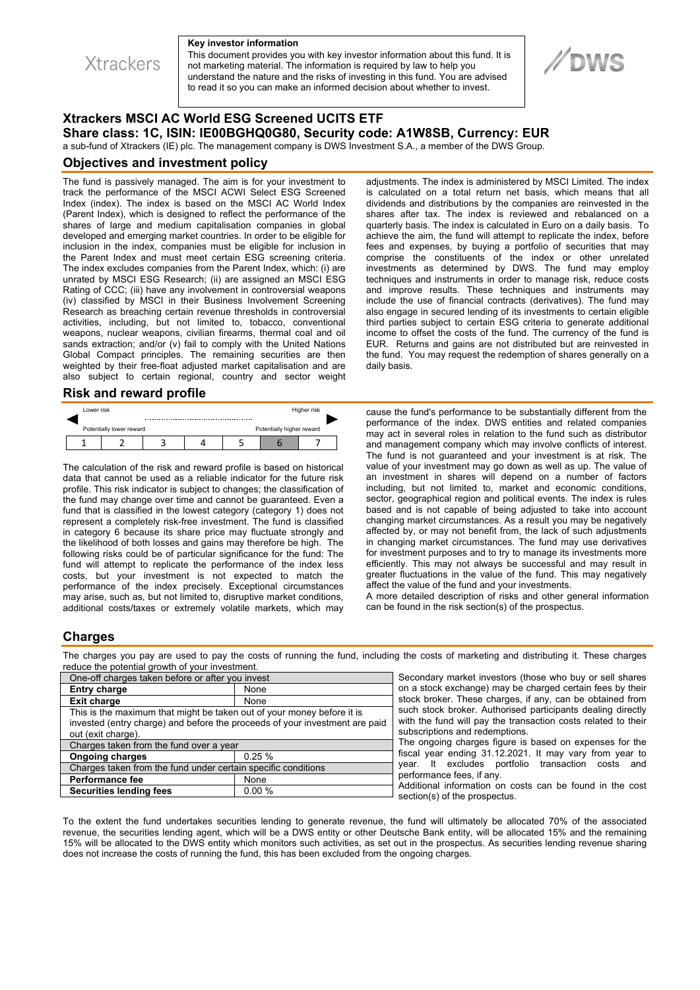**Xtrackers** 

#### **Key investor information**

This document provides you with key investor information about this fund. It is not marketing material. The information is required by law to help you understand the nature and the risks of investing in this fund. You are advised to read it so you can make an informed decision about whether to invest.

# **Xtrackers MSCI AC World ESG Screened UCITS ETF Share class: 1C, ISIN: IE00BGHQ0G80, Security code: A1W8SB, Currency: EUR**

a sub-fund of Xtrackers (IE) plc. The management company is DWS Investment S.A., a member of the DWS Group.

### **Objectives and investment policy**

The fund is passively managed. The aim is for your investment to track the performance of the MSCI ACWI Select ESG Screened Index (index). The index is based on the MSCI AC World Index (Parent Index), which is designed to reflect the performance of the shares of large and medium capitalisation companies in global developed and emerging market countries. In order to be eligible for inclusion in the index, companies must be eligible for inclusion in the Parent Index and must meet certain ESG screening criteria. The index excludes companies from the Parent Index, which: (i) are unrated by MSCI ESG Research; (ii) are assigned an MSCI ESG Rating of CCC; (iii) have any involvement in controversial weapons (iv) classified by MSCI in their Business Involvement Screening Research as breaching certain revenue thresholds in controversial activities, including, but not limited to, tobacco, conventional weapons, nuclear weapons, civilian firearms, thermal coal and oil sands extraction; and/or (v) fail to comply with the United Nations Global Compact principles. The remaining securities are then weighted by their free-float adjusted market capitalisation and are also subject to certain regional, country and sector weight

#### **Risk and reward profile**

|                          | Lower risk |  |  |                           | Higher risk |  |  |  |
|--------------------------|------------|--|--|---------------------------|-------------|--|--|--|
| Potentially lower reward |            |  |  | Potentially higher reward |             |  |  |  |
|                          |            |  |  |                           |             |  |  |  |

The calculation of the risk and reward profile is based on historical data that cannot be used as a reliable indicator for the future risk profile. This risk indicator is subject to changes; the classification of the fund may change over time and cannot be guaranteed. Even a fund that is classified in the lowest category (category 1) does not represent a completely risk-free investment. The fund is classified in category 6 because its share price may fluctuate strongly and the likelihood of both losses and gains may therefore be high. The following risks could be of particular significance for the fund: The fund will attempt to replicate the performance of the index less costs, but your investment is not expected to match the performance of the index precisely. Exceptional circumstances may arise, such as, but not limited to, disruptive market conditions, additional costs/taxes or extremely volatile markets, which may

adjustments. The index is administered by MSCI Limited. The index is calculated on a total return net basis, which means that all dividends and distributions by the companies are reinvested in the shares after tax. The index is reviewed and rebalanced on a quarterly basis. The index is calculated in Euro on a daily basis. To achieve the aim, the fund will attempt to replicate the index, before fees and expenses, by buying a portfolio of securities that may comprise the constituents of the index or other unrelated investments as determined by DWS. The fund may employ techniques and instruments in order to manage risk, reduce costs and improve results. These techniques and instruments may include the use of financial contracts (derivatives). The fund may also engage in secured lending of its investments to certain eligible third parties subject to certain ESG criteria to generate additional income to offset the costs of the fund. The currency of the fund is EUR. Returns and gains are not distributed but are reinvested in the fund. You may request the redemption of shares generally on a daily basis.

**DWS** 

cause the fund's performance to be substantially different from the performance of the index. DWS entities and related companies may act in several roles in relation to the fund such as distributor and management company which may involve conflicts of interest. The fund is not guaranteed and your investment is at risk. The value of your investment may go down as well as up. The value of an investment in shares will depend on a number of factors including, but not limited to, market and economic conditions, sector, geographical region and political events. The index is rules based and is not capable of being adjusted to take into account changing market circumstances. As a result you may be negatively affected by, or may not benefit from, the lack of such adjustments in changing market circumstances. The fund may use derivatives for investment purposes and to try to manage its investments more efficiently. This may not always be successful and may result in greater fluctuations in the value of the fund. This may negatively affect the value of the fund and your investments.

A more detailed description of risks and other general information can be found in the risk section(s) of the prospectus.

## **Charges**

The charges you pay are used to pay the costs of running the fund, including the costs of marketing and distributing it. These charges reduce the potential growth of your investment.

| <b>Entry charge</b><br>None<br><b>Exit charge</b><br>None                                                                                                                   |  |  |  |  |  |
|-----------------------------------------------------------------------------------------------------------------------------------------------------------------------------|--|--|--|--|--|
|                                                                                                                                                                             |  |  |  |  |  |
|                                                                                                                                                                             |  |  |  |  |  |
| This is the maximum that might be taken out of your money before it is<br>invested (entry charge) and before the proceeds of your investment are paid<br>out (exit charge). |  |  |  |  |  |
| Charges taken from the fund over a year                                                                                                                                     |  |  |  |  |  |
| <b>Ongoing charges</b><br>0.25%                                                                                                                                             |  |  |  |  |  |
| Charges taken from the fund under certain specific conditions                                                                                                               |  |  |  |  |  |
| <b>Performance fee</b><br>None                                                                                                                                              |  |  |  |  |  |
| <b>Securities lending fees</b><br>0.00%                                                                                                                                     |  |  |  |  |  |

Secondary market investors (those who buy or sell shares on a stock exchange) may be charged certain fees by their stock broker. These charges, if any, can be obtained from such stock broker. Authorised participants dealing directly with the fund will pay the transaction costs related to their subscriptions and redemptions.

The ongoing charges figure is based on expenses for the fiscal year ending 31.12.2021. It may vary from year to year. It excludes portfolio transaction costs and performance fees, if any.

Additional information on costs can be found in the cost section(s) of the prospectus.

To the extent the fund undertakes securities lending to generate revenue, the fund will ultimately be allocated 70% of the associated revenue, the securities lending agent, which will be a DWS entity or other Deutsche Bank entity, will be allocated 15% and the remaining 15% will be allocated to the DWS entity which monitors such activities, as set out in the prospectus. As securities lending revenue sharing does not increase the costs of running the fund, this has been excluded from the ongoing charges.